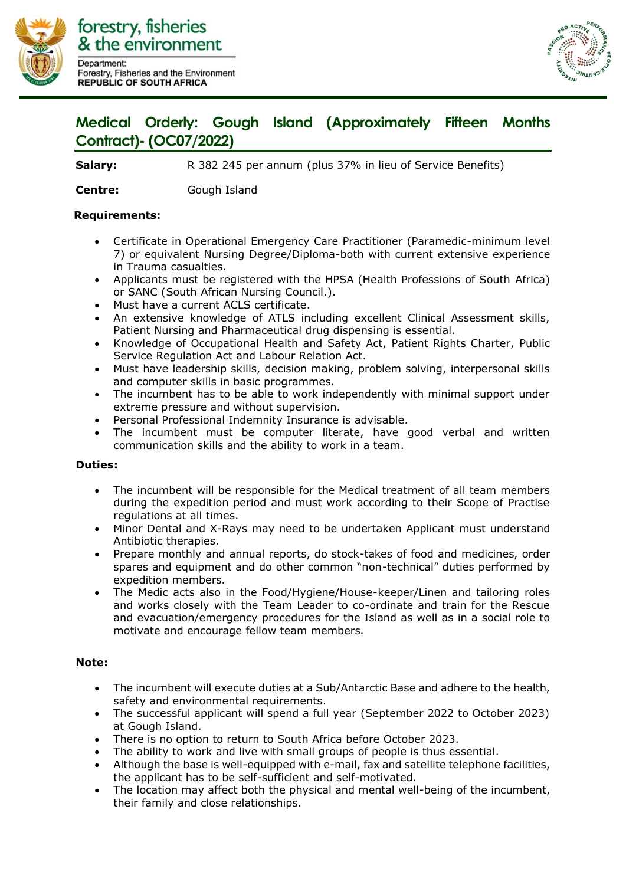

forestry, fisheries & the environment Department: Forestry, Fisheries and the Environment **REPUBLIC OF SOUTH AFRICA** 



## **Medical Orderly: Gough Island (Approximately Fifteen Months Contract)- (OC07/2022)**

**Salary:** R 382 245 per annum (plus 37% in lieu of Service Benefits)

**Centre:** Gough Island

## **Requirements:**

- Certificate in Operational Emergency Care Practitioner (Paramedic-minimum level 7) or equivalent Nursing Degree/Diploma-both with current extensive experience in Trauma casualties.
- Applicants must be registered with the HPSA (Health Professions of South Africa) or SANC (South African Nursing Council.).
- Must have a current ACLS certificate.
- An extensive knowledge of ATLS including excellent Clinical Assessment skills, Patient Nursing and Pharmaceutical drug dispensing is essential.
- Knowledge of Occupational Health and Safety Act, Patient Rights Charter, Public Service Regulation Act and Labour Relation Act.
- Must have leadership skills, decision making, problem solving, interpersonal skills and computer skills in basic programmes.
- The incumbent has to be able to work independently with minimal support under extreme pressure and without supervision.
- Personal Professional Indemnity Insurance is advisable.
- The incumbent must be computer literate, have good verbal and written communication skills and the ability to work in a team.

## **Duties:**

- The incumbent will be responsible for the Medical treatment of all team members during the expedition period and must work according to their Scope of Practise regulations at all times.
- Minor Dental and X-Rays may need to be undertaken Applicant must understand Antibiotic therapies.
- Prepare monthly and annual reports, do stock-takes of food and medicines, order spares and equipment and do other common "non-technical" duties performed by expedition members.
- The Medic acts also in the Food/Hygiene/House-keeper/Linen and tailoring roles and works closely with the Team Leader to co-ordinate and train for the Rescue and evacuation/emergency procedures for the Island as well as in a social role to motivate and encourage fellow team members.

## **Note:**

- The incumbent will execute duties at a Sub/Antarctic Base and adhere to the health, safety and environmental requirements.
- The successful applicant will spend a full year (September 2022 to October 2023) at Gough Island.
- There is no option to return to South Africa before October 2023.
- The ability to work and live with small groups of people is thus essential.
- Although the base is well-equipped with e-mail, fax and satellite telephone facilities, the applicant has to be self-sufficient and self-motivated.
- The location may affect both the physical and mental well-being of the incumbent, their family and close relationships.